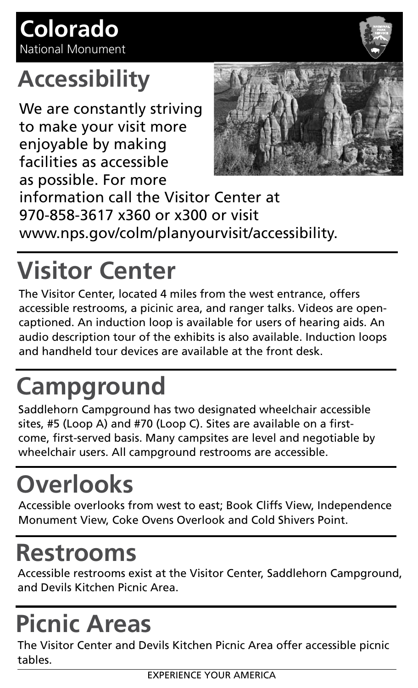#### **Accessibility**

We are constantly striving to make your visit more enjoyable by making facilities as accessible as possible. For more



information call the Visitor Center at 970-858-3617 x360 or x300 or visit www.nps.gov/colm/planyourvisit/accessibility.

# **Visitor Center**

The Visitor Center, located 4 miles from the west entrance, offers accessible restrooms, a picinic area, and ranger talks. Videos are opencaptioned. An induction loop is available for users of hearing aids. An audio description tour of the exhibits is also available. Induction loops and handheld tour devices are available at the front desk.

## **Campground**

Saddlehorn Campground has two designated wheelchair accessible sites, #5 (Loop A) and #70 (Loop C). Sites are available on a firstcome, first-served basis. Many campsites are level and negotiable by wheelchair users. All campground restrooms are accessible.

## **Overlooks**

Accessible overlooks from west to east; Book Cliffs View, Independence Monument View, Coke Ovens Overlook and Cold Shivers Point.

#### **Restrooms**

Accessible restrooms exist at the Visitor Center, Saddlehorn Campground, and Devils Kitchen Picnic Area.

## **Picnic Areas**

The Visitor Center and Devils Kitchen Picnic Area offer accessible picnic tables.